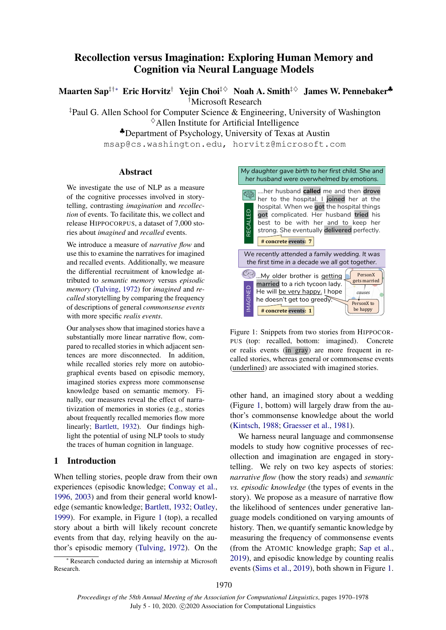# Recollection versus Imagination: Exploring Human Memory and Cognition via Neural Language Models

Maarten Sap<sup>‡†</sup>\* Eric Horvitz<sup>†</sup> Yejin Choi<sup>‡ ◇</sup> Noah A. Smith<sup>‡ ◇</sup> James W. Pennebaker<sup></sup>

†Microsoft Research

‡Paul G. Allen School for Computer Science & Engineering, University of Washington

 $\diamond$  Allen Institute for Artificial Intelligence

♣Department of Psychology, University of Texas at Austin

msap@cs.washington.edu, horvitz@microsoft.com

# Abstract

We investigate the use of NLP as a measure of the cognitive processes involved in storytelling, contrasting *imagination* and *recollection* of events. To facilitate this, we collect and release HIPPOCORPUS, a dataset of 7,000 stories about *imagined* and *recalled* events.

We introduce a measure of *narrative flow* and use this to examine the narratives for imagined and recalled events. Additionally, we measure the differential recruitment of knowledge attributed to *semantic memory* versus *episodic memory* [\(Tulving,](#page-6-0) [1972\)](#page-6-0) for *imagined* and *recalled* storytelling by comparing the frequency of descriptions of general *commonsense events* with more specific *realis events*.

Our analyses show that imagined stories have a substantially more linear narrative flow, compared to recalled stories in which adjacent sentences are more disconnected. In addition, while recalled stories rely more on autobiographical events based on episodic memory, imagined stories express more commonsense knowledge based on semantic memory. Finally, our measures reveal the effect of narrativization of memories in stories (e.g., stories about frequently recalled memories flow more linearly; [Bartlett,](#page-5-0) [1932\)](#page-5-0). Our findings highlight the potential of using NLP tools to study the traces of human cognition in language.

# 1 Introduction

When telling stories, people draw from their own experiences (episodic knowledge; [Conway et al.,](#page-5-1) [1996,](#page-5-1) [2003\)](#page-5-2) and from their general world knowledge (semantic knowledge; [Bartlett,](#page-5-0) [1932;](#page-5-0) [Oatley,](#page-5-3) [1999\)](#page-5-3). For example, in Figure [1](#page-0-0) (top), a recalled story about a birth will likely recount concrete events from that day, relying heavily on the author's episodic memory [\(Tulving,](#page-6-0) [1972\)](#page-6-0). On the

**Research conducted during an internship at Microsoft** Research.

<span id="page-0-0"></span>

Figure 1: Snippets from two stories from HIPPOCOR-PUS (top: recalled, bottom: imagined). Concrete or realis events (in gray) are more frequent in recalled stories, whereas general or commonsense events (underlined) are associated with imagined stories.

other hand, an imagined story about a wedding (Figure [1,](#page-0-0) bottom) will largely draw from the author's commonsense knowledge about the world [\(Kintsch,](#page-5-4) [1988;](#page-5-4) [Graesser et al.,](#page-5-5) [1981\)](#page-5-5).

We harness neural language and commonsense models to study how cognitive processes of recollection and imagination are engaged in storytelling. We rely on two key aspects of stories: *narrative flow* (how the story reads) and *semantic vs. episodic knowledge* (the types of events in the story). We propose as a measure of narrative flow the likelihood of sentences under generative language models conditioned on varying amounts of history. Then, we quantify semantic knowledge by measuring the frequency of commonsense events (from the ATOMIC knowledge graph; [Sap et al.,](#page-6-1) [2019\)](#page-6-1), and episodic knowledge by counting realis events [\(Sims et al.,](#page-6-2) [2019\)](#page-6-2), both shown in Figure [1.](#page-0-0)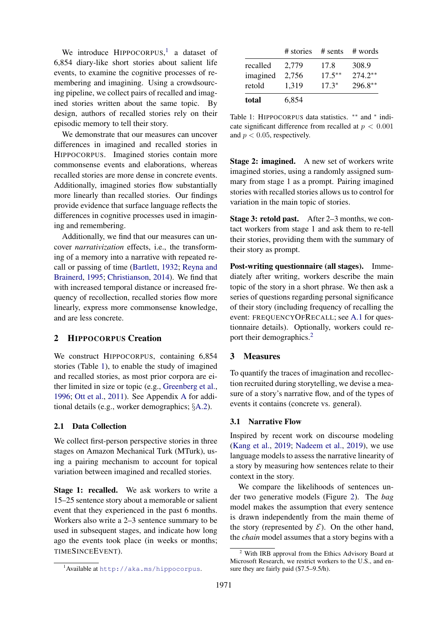We introduce  $HPPOCORPUS$ <sup>[1](#page-1-0)</sup> a dataset of 6,854 diary-like short stories about salient life events, to examine the cognitive processes of remembering and imagining. Using a crowdsourcing pipeline, we collect pairs of recalled and imagined stories written about the same topic. By design, authors of recalled stories rely on their episodic memory to tell their story.

We demonstrate that our measures can uncover differences in imagined and recalled stories in HIPPOCORPUS. Imagined stories contain more commonsense events and elaborations, whereas recalled stories are more dense in concrete events. Additionally, imagined stories flow substantially more linearly than recalled stories. Our findings provide evidence that surface language reflects the differences in cognitive processes used in imagining and remembering.

Additionally, we find that our measures can uncover *narrativization* effects, i.e., the transforming of a memory into a narrative with repeated recall or passing of time [\(Bartlett,](#page-5-0) [1932;](#page-5-0) [Reyna and](#page-5-6) [Brainerd,](#page-5-6) [1995;](#page-5-6) [Christianson,](#page-5-7) [2014\)](#page-5-7). We find that with increased temporal distance or increased frequency of recollection, recalled stories flow more linearly, express more commonsense knowledge, and are less concrete.

# 2 HIPPOCORPUS Creation

We construct HIPPOCORPUS, containing 6,854 stories (Table [1\)](#page-1-1), to enable the study of imagined and recalled stories, as most prior corpora are either limited in size or topic (e.g., [Greenberg et al.,](#page-5-8) [1996;](#page-5-8) [Ott et al.,](#page-5-9) [2011\)](#page-5-9). See Appendix [A](#page-7-0) for additional details (e.g., worker demographics; §[A.2\)](#page-7-1).

# 2.1 Data Collection

We collect first-person perspective stories in three stages on Amazon Mechanical Turk (MTurk), using a pairing mechanism to account for topical variation between imagined and recalled stories.

Stage 1: recalled. We ask workers to write a 15–25 sentence story about a memorable or salient event that they experienced in the past 6 months. Workers also write a 2–3 sentence summary to be used in subsequent stages, and indicate how long ago the events took place (in weeks or months; TIMESINCEEVENT).

<span id="page-1-1"></span>

|          | # stories | $#$ sents | # words   |
|----------|-----------|-----------|-----------|
| recalled | 2,779     | 17.8      | 308.9     |
| imagined | 2,756     | $17.5***$ | $274.2**$ |
| retold   | 1,319     | $17.3*$   | $296.8**$ |
| total    | 6,854     |           |           |

Table 1: HIPPOCORPUS data statistics. \*\* and \* indicate significant difference from recalled at  $p < 0.001$ and  $p < 0.05$ , respectively.

**Stage 2: imagined.** A new set of workers write imagined stories, using a randomly assigned summary from stage 1 as a prompt. Pairing imagined stories with recalled stories allows us to control for variation in the main topic of stories.

Stage 3: retold past. After 2–3 months, we contact workers from stage 1 and ask them to re-tell their stories, providing them with the summary of their story as prompt.

Post-writing questionnaire (all stages). Immediately after writing, workers describe the main topic of the story in a short phrase. We then ask a series of questions regarding personal significance of their story (including frequency of recalling the event: FREQUENCYOFRECALL; see [A.1](#page-7-2) for questionnaire details). Optionally, workers could re-port their demographics.<sup>[2](#page-1-2)</sup>

#### 3 Measures

To quantify the traces of imagination and recollection recruited during storytelling, we devise a measure of a story's narrative flow, and of the types of events it contains (concrete vs. general).

#### 3.1 Narrative Flow

Inspired by recent work on discourse modeling [\(Kang et al.,](#page-5-10) [2019;](#page-5-10) [Nadeem et al.,](#page-5-11) [2019\)](#page-5-11), we use language models to assess the narrative linearity of a story by measuring how sentences relate to their context in the story.

We compare the likelihoods of sentences under two generative models (Figure [2\)](#page-2-0). The *bag* model makes the assumption that every sentence is drawn independently from the main theme of the story (represented by  $\mathcal{E}$ ). On the other hand, the *chain* model assumes that a story begins with a

<span id="page-1-0"></span><sup>&</sup>lt;sup>1</sup> Available at <http://aka.ms/hippocorpus>.

<span id="page-1-2"></span><sup>&</sup>lt;sup>2</sup> With IRB approval from the Ethics Advisory Board at Microsoft Research, we restrict workers to the U.S., and ensure they are fairly paid (\$7.5–9.5/h).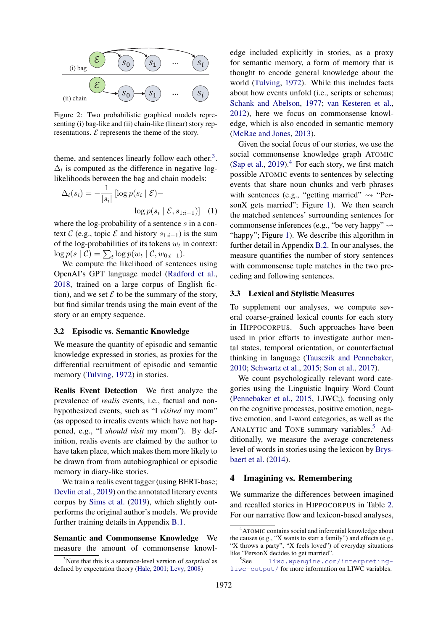<span id="page-2-0"></span>

Figure 2: Two probabilistic graphical models representing (i) bag-like and (ii) chain-like (linear) story representations.  $\mathcal E$  represents the theme of the story.

theme, and sentences linearly follow each other. $3$ .  $\Delta_l$  is computed as the difference in negative loglikelihoods between the bag and chain models:

$$
\Delta_l(s_i) = -\frac{1}{|s_i|} \left[ \log p(s_i \mid \mathcal{E}) - \log p(s_i \mid \mathcal{E}, s_{1:i-1}) \right] \tag{1}
$$

where the log-probability of a sentence s in a context C (e.g., topic  $\mathcal E$  and history  $s_{1:i-1}$ ) is the sum of the log-probabilities of its tokens  $w_t$  in context:  $\log p(s | \mathcal{C}) = \sum_t \log p(w_t | \mathcal{C}, w_{0:t-1}).$ 

We compute the likelihood of sentences using OpenAI's GPT language model [\(Radford et al.,](#page-5-12) [2018,](#page-5-12) trained on a large corpus of English fiction), and we set  $\mathcal E$  to be the summary of the story, but find similar trends using the main event of the story or an empty sequence.

# 3.2 Episodic vs. Semantic Knowledge

We measure the quantity of episodic and semantic knowledge expressed in stories, as proxies for the differential recruitment of episodic and semantic memory [\(Tulving,](#page-6-0) [1972\)](#page-6-0) in stories.

Realis Event Detection We first analyze the prevalence of *realis* events, i.e., factual and nonhypothesized events, such as "I *visited* my mom" (as opposed to irrealis events which have not happened, e.g., "I *should visit* my mom"). By definition, realis events are claimed by the author to have taken place, which makes them more likely to be drawn from from autobiographical or episodic memory in diary-like stories.

We train a realis event tagger (using BERT-base; [Devlin et al.,](#page-5-13) [2019\)](#page-5-13) on the annotated literary events corpus by [Sims et al.](#page-6-2) [\(2019\)](#page-6-2), which slightly outperforms the original author's models. We provide further training details in Appendix [B.1.](#page-7-3)

# Semantic and Commonsense Knowledge We measure the amount of commonsense knowl-

edge included explicitly in stories, as a proxy for semantic memory, a form of memory that is thought to encode general knowledge about the world [\(Tulving,](#page-6-0) [1972\)](#page-6-0). While this includes facts about how events unfold (i.e., scripts or schemas; [Schank and Abelson,](#page-6-3) [1977;](#page-6-3) [van Kesteren et al.,](#page-5-16) [2012\)](#page-5-16), here we focus on commonsense knowledge, which is also encoded in semantic memory [\(McRae and Jones,](#page-5-17) [2013\)](#page-5-17).

Given the social focus of our stories, we use the social commonsense knowledge graph ATOMIC [\(Sap et al.,](#page-6-1) [2019\)](#page-6-1).<sup>[4](#page-2-2)</sup> For each story, we first match possible ATOMIC events to sentences by selecting events that share noun chunks and verb phrases with sentences (e.g., "getting married"  $\rightsquigarrow$  "Per-sonX gets married"; Figure [1\)](#page-0-0). We then search the matched sentences' surrounding sentences for commonsense inferences (e.g., "be very happy"  $\rightsquigarrow$ "happy"; Figure [1\)](#page-0-0). We describe this algorithm in further detail in Appendix [B.2.](#page-7-4) In our analyses, the measure quantifies the number of story sentences with commonsense tuple matches in the two preceding and following sentences.

#### 3.3 Lexical and Stylistic Measures

To supplement our analyses, we compute several coarse-grained lexical counts for each story in HIPPOCORPUS. Such approaches have been used in prior efforts to investigate author mental states, temporal orientation, or counterfactual thinking in language [\(Tausczik and Pennebaker,](#page-6-4) [2010;](#page-6-4) [Schwartz et al.,](#page-6-5) [2015;](#page-6-5) [Son et al.,](#page-6-6) [2017\)](#page-6-6).

We count psychologically relevant word categories using the Linguistic Inquiry Word Count [\(Pennebaker et al.,](#page-5-18) [2015,](#page-5-18) LIWC;), focusing only on the cognitive processes, positive emotion, negative emotion, and I-word categories, as well as the ANALYTIC and TONE summary variables.<sup>[5](#page-2-3)</sup> Additionally, we measure the average concreteness level of words in stories using the lexicon by [Brys](#page-5-19)[baert et al.](#page-5-19) [\(2014\)](#page-5-19).

# <span id="page-2-4"></span>4 Imagining vs. Remembering

We summarize the differences between imagined and recalled stories in HIPPOCORPUS in Table [2.](#page-3-0) For our narrative flow and lexicon-based analyses,

<span id="page-2-1"></span><sup>3</sup>Note that this is a sentence-level version of *surprisal* as defined by expectation theory [\(Hale,](#page-5-14) [2001;](#page-5-14) [Levy,](#page-5-15) [2008\)](#page-5-15)

<span id="page-2-2"></span><sup>4</sup>ATOMIC contains social and inferential knowledge about the causes (e.g., "X wants to start a family") and effects (e.g., "X throws a party", "X feels loved") of everyday situations like "PersonX decides to get married".

<span id="page-2-3"></span><sup>&</sup>lt;sup>5</sup>See [liwc.wpengine.com/interpreting](liwc.wpengine.com/interpreting-liwc-output/)[liwc-output/](liwc.wpengine.com/interpreting-liwc-output/) for more information on LIWC variables.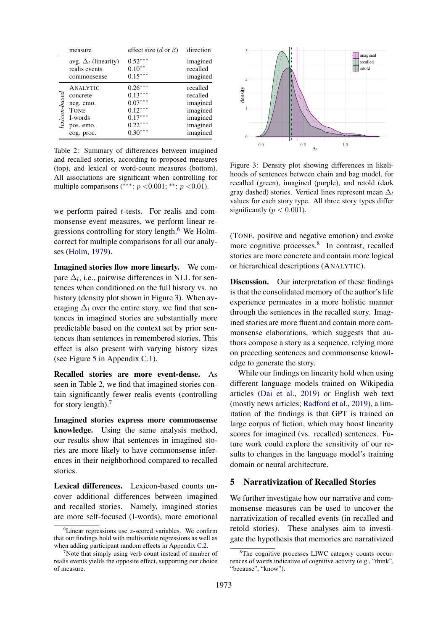<span id="page-3-0"></span>

|               | measure                     | effect size (d or $\beta$ ) | direction |
|---------------|-----------------------------|-----------------------------|-----------|
|               | avg. $\Delta_l$ (linearity) | $0.52***$                   | imagined  |
|               | realis events               | $0.10**$                    | recalled  |
|               | commonsense                 | $0.15***$                   | imagined  |
| lexicon-based | ANALYTIC                    | $0.26***$                   | recalled  |
|               | concrete                    | $0.13***$                   | recalled  |
|               | neg. emo.                   | $0.07***$                   | imagined  |
|               | <b>TONE</b>                 | $0.12***$                   | imagined  |
|               | I-words                     | $0.17***$                   | imagined  |
|               | pos. emo.                   | $0.22***$                   | imagined  |
|               | cog. proc.                  | $0.30***$                   | imagined  |

Table 2: Summary of differences between imagined and recalled stories, according to proposed measures (top), and lexical or word-count measures (bottom). All associations are significant when controlling for multiple comparisons (\*\*\*:  $p < 0.001$ ; \*\*:  $p < 0.01$ ).

we perform paired t-tests. For realis and commonsense event measures, we perform linear regressions controlling for story length. $6$  We Holmcorrect for multiple comparisons for all our analyses [\(Holm,](#page-5-20) [1979\)](#page-5-20).

Imagined stories flow more linearly. We compare  $\Delta_l$ , i.e., pairwise differences in NLL for sentences when conditioned on the full history vs. no history (density plot shown in Figure [3\)](#page-3-2). When averaging  $\Delta_l$  over the entire story, we find that sentences in imagined stories are substantially more predictable based on the context set by prior sentences than sentences in remembered stories. This effect is also present with varying history sizes (see Figure [5](#page-8-0) in Appendix [C.1\)](#page-8-1).

Recalled stories are more event-dense. As seen in Table [2,](#page-3-0) we find that imagined stories contain significantly fewer realis events (controlling for story length).[7](#page-3-3)

Imagined stories express more commonsense knowledge. Using the same analysis method, our results show that sentences in imagined stories are more likely to have commonsense inferences in their neighborhood compared to recalled stories.

Lexical differences. Lexicon-based counts uncover additional differences between imagined and recalled stories. Namely, imagined stories are more self-focused (I-words), more emotional

<span id="page-3-2"></span>

Figure 3: Density plot showing differences in likelihoods of sentences between chain and bag model, for recalled (green), imagined (purple), and retold (dark gray dashed) stories. Vertical lines represent mean  $\Delta_l$ values for each story type. All three story types differ significantly ( $p < 0.001$ ).

(TONE, positive and negative emotion) and evoke more cognitive processes.<sup>[8](#page-3-4)</sup> In contrast, recalled stories are more concrete and contain more logical or hierarchical descriptions (ANALYTIC).

Discussion. Our interpretation of these findings is that the consolidated memory of the author's life experience permeates in a more holistic manner through the sentences in the recalled story. Imagined stories are more fluent and contain more commonsense elaborations, which suggests that authors compose a story as a sequence, relying more on preceding sentences and commonsense knowledge to generate the story.

While our findings on linearity hold when using different language models trained on Wikipedia articles [\(Dai et al.,](#page-5-21) [2019\)](#page-5-21) or English web text (mostly news articles; [Radford et al.,](#page-5-22) [2019\)](#page-5-22), a limitation of the findings is that GPT is trained on large corpus of fiction, which may boost linearity scores for imagined (vs. recalled) sentences. Future work could explore the sensitivity of our results to changes in the language model's training domain or neural architecture.

# 5 Narrativization of Recalled Stories

We further investigate how our narrative and commonsense measures can be used to uncover the narrativization of recalled events (in recalled and retold stories). These analyses aim to investigate the hypothesis that memories are narrativized

<span id="page-3-1"></span> ${}^{6}$ Linear regressions use  $z$ -scored variables. We confirm that our findings hold with multivariate regressions as well as when adding participant random effects in Appendix [C.2.](#page-8-2)

<span id="page-3-3"></span> $\gamma$ Note that simply using verb count instead of number of realis events yields the opposite effect, supporting our choice of measure.

<span id="page-3-4"></span><sup>&</sup>lt;sup>8</sup>The cognitive processes LIWC category counts occurrences of words indicative of cognitive activity (e.g., "think", "because", "know").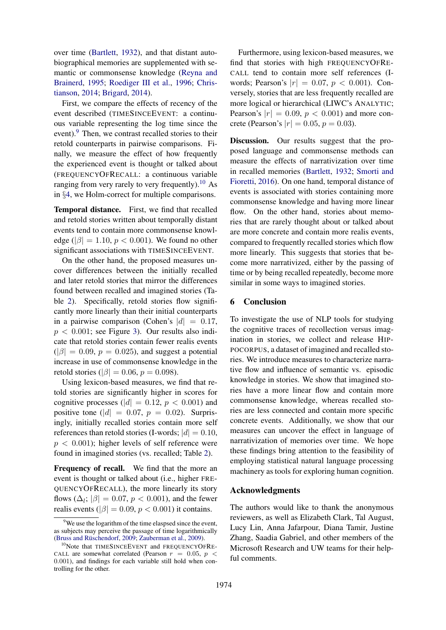over time [\(Bartlett,](#page-5-0) [1932\)](#page-5-0), and that distant autobiographical memories are supplemented with semantic or commonsense knowledge [\(Reyna and](#page-5-6) [Brainerd,](#page-5-6) [1995;](#page-5-6) [Roediger III et al.,](#page-5-23) [1996;](#page-5-23) [Chris](#page-5-7)[tianson,](#page-5-7) [2014;](#page-5-7) [Brigard,](#page-5-24) [2014\)](#page-5-24).

First, we compare the effects of recency of the event described (TIMESINCEEVENT: a continuous variable representing the log time since the event).<sup>[9](#page-4-0)</sup> Then, we contrast recalled stories to their retold counterparts in pairwise comparisons. Finally, we measure the effect of how frequently the experienced event is thought or talked about (FREQUENCYOFRECALL: a continuous variable ranging from very rarely to very frequently).<sup>[10](#page-4-1)</sup> As in §[4,](#page-2-4) we Holm-correct for multiple comparisons.

Temporal distance. First, we find that recalled and retold stories written about temporally distant events tend to contain more commonsense knowledge ( $|\beta| = 1.10$ ,  $p < 0.001$ ). We found no other significant associations with TIMESINCEEVENT.

On the other hand, the proposed measures uncover differences between the initially recalled and later retold stories that mirror the differences found between recalled and imagined stories (Ta-ble [2\)](#page-3-0). Specifically, retold stories flow significantly more linearly than their initial counterparts in a pairwise comparison (Cohen's  $|d| = 0.17$ ,  $p < 0.001$ ; see Figure [3\)](#page-3-2). Our results also indicate that retold stories contain fewer realis events  $(|\beta| = 0.09, p = 0.025)$ , and suggest a potential increase in use of commonsense knowledge in the retold stories ( $|\beta| = 0.06$ ,  $p = 0.098$ ).

Using lexicon-based measures, we find that retold stories are significantly higher in scores for cognitive processes ( $|d| = 0.12$ ,  $p < 0.001$ ) and positive tone ( $|d| = 0.07$ ,  $p = 0.02$ ). Surprisingly, initially recalled stories contain more self references than retold stories (I-words;  $|d| = 0.10$ ,  $p < 0.001$ ; higher levels of self reference were found in imagined stories (vs. recalled; Table [2\)](#page-3-0).

Frequency of recall. We find that the more an event is thought or talked about (i.e., higher FRE-QUENCYOFRECALL), the more linearly its story flows ( $\Delta_l$ ;  $|\beta| = 0.07$ ,  $p < 0.001$ ), and the fewer realis events ( $|\beta| = 0.09$ ,  $p < 0.001$ ) it contains.

Furthermore, using lexicon-based measures, we find that stories with high FREQUENCYOFRE-CALL tend to contain more self references (Iwords; Pearson's  $|r| = 0.07, p < 0.001$ ). Conversely, stories that are less frequently recalled are more logical or hierarchical (LIWC's ANALYTIC; Pearson's  $|r| = 0.09$ ,  $p < 0.001$ ) and more concrete (Pearson's  $|r| = 0.05, p = 0.03$ ).

Discussion. Our results suggest that the proposed language and commonsense methods can measure the effects of narrativization over time in recalled memories [\(Bartlett,](#page-5-0) [1932;](#page-5-0) [Smorti and](#page-6-8) [Fioretti,](#page-6-8) [2016\)](#page-6-8). On one hand, temporal distance of events is associated with stories containing more commonsense knowledge and having more linear flow. On the other hand, stories about memories that are rarely thought about or talked about are more concrete and contain more realis events, compared to frequently recalled stories which flow more linearly. This suggests that stories that become more narrativized, either by the passing of time or by being recalled repeatedly, become more similar in some ways to imagined stories.

#### 6 Conclusion

To investigate the use of NLP tools for studying the cognitive traces of recollection versus imagination in stories, we collect and release HIP-POCORPUS, a dataset of imagined and recalled stories. We introduce measures to characterize narrative flow and influence of semantic vs. episodic knowledge in stories. We show that imagined stories have a more linear flow and contain more commonsense knowledge, whereas recalled stories are less connected and contain more specific concrete events. Additionally, we show that our measures can uncover the effect in language of narrativization of memories over time. We hope these findings bring attention to the feasibility of employing statistical natural language processing machinery as tools for exploring human cognition.

#### Acknowledgments

The authors would like to thank the anonymous reviewers, as well as Elizabeth Clark, Tal August, Lucy Lin, Anna Jafarpour, Diana Tamir, Justine Zhang, Saadia Gabriel, and other members of the Microsoft Research and UW teams for their helpful comments.

<span id="page-4-0"></span><sup>&</sup>lt;sup>9</sup>We use the logarithm of the time elaspsed since the event, as subjects may perceive the passage of time logarithmically (Bruss and Rüschendorf, [2009;](#page-5-25) [Zauberman et al.,](#page-6-7) [2009\)](#page-6-7).

<span id="page-4-1"></span><sup>&</sup>lt;sup>10</sup>Note that TIMESINCEEVENT and FREQUENCYOFRE-CALL are somewhat correlated (Pearson  $r = 0.05$ ,  $p <$ 0.001), and findings for each variable still hold when controlling for the other.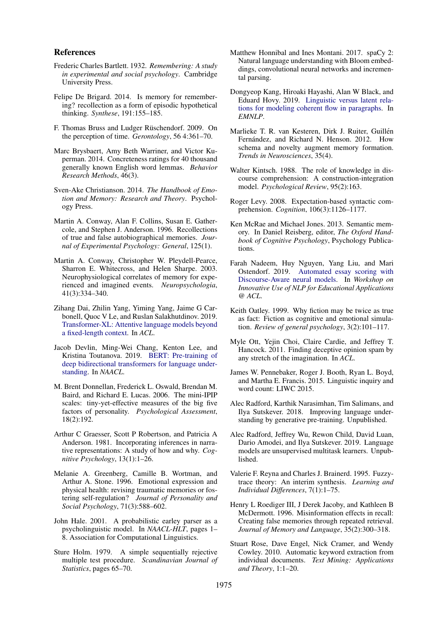#### References

- <span id="page-5-0"></span>Frederic Charles Bartlett. 1932. *Remembering: A study in experimental and social psychology*. Cambridge University Press.
- <span id="page-5-24"></span>Felipe De Brigard. 2014. Is memory for remembering? recollection as a form of episodic hypothetical thinking. *Synthese*, 191:155–185.
- <span id="page-5-25"></span>F. Thomas Bruss and Ludger Rüschendorf. 2009. On the perception of time. *Gerontology*, 56 4:361–70.
- <span id="page-5-19"></span>Marc Brysbaert, Amy Beth Warriner, and Victor Kuperman. 2014. Concreteness ratings for 40 thousand generally known English word lemmas. *Behavior Research Methods*, 46(3).
- <span id="page-5-7"></span>Sven-Ake Christianson. 2014. *The Handbook of Emotion and Memory: Research and Theory*. Psychology Press.
- <span id="page-5-1"></span>Martin A. Conway, Alan F. Collins, Susan E. Gathercole, and Stephen J. Anderson. 1996. Recollections of true and false autobiographical memories. *Journal of Experimental Psychology: General*, 125(1).
- <span id="page-5-2"></span>Martin A. Conway, Christopher W. Pleydell-Pearce, Sharron E. Whitecross, and Helen Sharpe. 2003. Neurophysiological correlates of memory for experienced and imagined events. *Neuropsychologia*, 41(3):334–340.
- <span id="page-5-21"></span>Zihang Dai, Zhilin Yang, Yiming Yang, Jaime G Carbonell, Quoc V Le, and Ruslan Salakhutdinov. 2019. [Transformer-XL: Attentive language models beyond](https://www.aclweb.org/anthology/P19-1285) [a fixed-length context.](https://www.aclweb.org/anthology/P19-1285) In *ACL*.
- <span id="page-5-13"></span>Jacob Devlin, Ming-Wei Chang, Kenton Lee, and Kristina Toutanova. 2019. [BERT: Pre-training of](https://www.aclweb.org/anthology/N19-1423) [deep bidirectional transformers for language under](https://www.aclweb.org/anthology/N19-1423)[standing.](https://www.aclweb.org/anthology/N19-1423) In *NAACL*.
- <span id="page-5-27"></span>M. Brent Donnellan, Frederick L. Oswald, Brendan M. Baird, and Richard E. Lucas. 2006. The mini-IPIP scales: tiny-yet-effective measures of the big five factors of personality. *Psychological Assessment*, 18(2):192.
- <span id="page-5-5"></span>Arthur C Graesser, Scott P Robertson, and Patricia A Anderson. 1981. Incorporating inferences in narrative representations: A study of how and why. *Cognitive Psychology*, 13(1):1–26.
- <span id="page-5-8"></span>Melanie A. Greenberg, Camille B. Wortman, and Arthur A. Stone. 1996. Emotional expression and physical health: revising traumatic memories or fostering self-regulation? *Journal of Personality and Social Psychology*, 71(3):588–602.
- <span id="page-5-14"></span>John Hale. 2001. A probabilistic earley parser as a psycholinguistic model. In *NAACL-HLT*, pages 1– 8. Association for Computational Linguistics.
- <span id="page-5-20"></span>Sture Holm. 1979. A simple sequentially rejective multiple test procedure. *Scandinavian Journal of Statistics*, pages 65–70.
- <span id="page-5-28"></span>Matthew Honnibal and Ines Montani. 2017. spaCy 2: Natural language understanding with Bloom embeddings, convolutional neural networks and incremental parsing.
- <span id="page-5-10"></span>Dongyeop Kang, Hiroaki Hayashi, Alan W Black, and Eduard Hovy. 2019. [Linguistic versus latent rela](https://www.aclweb.org/anthology/D19-1589)[tions for modeling coherent flow in paragraphs.](https://www.aclweb.org/anthology/D19-1589) In *EMNLP*.
- <span id="page-5-16"></span>Marlieke T. R. van Kesteren, Dirk J. Ruiter, Guillén Fernández, and Richard N. Henson. 2012. How schema and novelty augment memory formation. *Trends in Neurosciences*, 35(4).
- <span id="page-5-4"></span>Walter Kintsch. 1988. The role of knowledge in discourse comprehension: A construction-integration model. *Psychological Review*, 95(2):163.
- <span id="page-5-15"></span>Roger Levy. 2008. Expectation-based syntactic comprehension. *Cognition*, 106(3):1126–1177.
- <span id="page-5-17"></span>Ken McRae and Michael Jones. 2013. Semantic memory. In Daniel Reisberg, editor, *The Oxford Handbook of Cognitive Psychology*, Psychology Publications.
- <span id="page-5-11"></span>Farah Nadeem, Huy Nguyen, Yang Liu, and Mari Ostendorf. 2019. [Automated essay scoring with](https://www.aclweb.org/anthology/W19-4450) [Discourse-Aware neural models.](https://www.aclweb.org/anthology/W19-4450) In *Workshop on Innovative Use of NLP for Educational Applications @ ACL*.
- <span id="page-5-3"></span>Keith Oatley. 1999. Why fiction may be twice as true as fact: Fiction as cognitive and emotional simulation. *Review of general psychology*, 3(2):101–117.
- <span id="page-5-9"></span>Myle Ott, Yejin Choi, Claire Cardie, and Jeffrey T. Hancock. 2011. Finding deceptive opinion spam by any stretch of the imagination. In *ACL*.
- <span id="page-5-18"></span>James W. Pennebaker, Roger J. Booth, Ryan L. Boyd, and Martha E. Francis. 2015. Linguistic inquiry and word count: LIWC 2015.
- <span id="page-5-12"></span>Alec Radford, Karthik Narasimhan, Tim Salimans, and Ilya Sutskever. 2018. Improving language understanding by generative pre-training. Unpublished.
- <span id="page-5-22"></span>Alec Radford, Jeffrey Wu, Rewon Child, David Luan, Dario Amodei, and Ilya Sutskever. 2019. Language models are unsupervised multitask learners. Unpublished.
- <span id="page-5-6"></span>Valerie F. Reyna and Charles J. Brainerd. 1995. Fuzzytrace theory: An interim synthesis. *Learning and Individual Differences*, 7(1):1–75.
- <span id="page-5-23"></span>Henry L Roediger III, J Derek Jacoby, and Kathleen B McDermott. 1996. Misinformation effects in recall: Creating false memories through repeated retrieval. *Journal of Memory and Language*, 35(2):300–318.
- <span id="page-5-26"></span>Stuart Rose, Dave Engel, Nick Cramer, and Wendy Cowley. 2010. Automatic keyword extraction from individual documents. *Text Mining: Applications and Theory*, 1:1–20.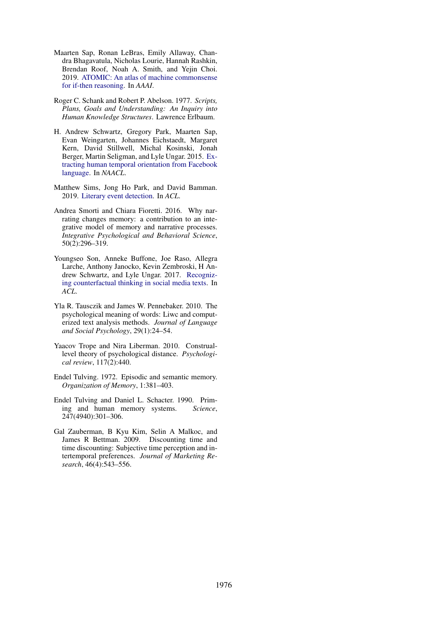- <span id="page-6-1"></span>Maarten Sap, Ronan LeBras, Emily Allaway, Chandra Bhagavatula, Nicholas Lourie, Hannah Rashkin, Brendan Roof, Noah A. Smith, and Yejin Choi. 2019. [ATOMIC: An atlas of machine commonsense](https://aaai.org/ojs/index.php/AAAI/article/view/4160) [for if-then reasoning.](https://aaai.org/ojs/index.php/AAAI/article/view/4160) In *AAAI*.
- <span id="page-6-3"></span>Roger C. Schank and Robert P. Abelson. 1977. *Scripts, Plans, Goals and Understanding: An Inquiry into Human Knowledge Structures*. Lawrence Erlbaum.
- <span id="page-6-5"></span>H. Andrew Schwartz, Gregory Park, Maarten Sap, Evan Weingarten, Johannes Eichstaedt, Margaret Kern, David Stillwell, Michal Kosinski, Jonah Berger, Martin Seligman, and Lyle Ungar. 2015. [Ex](https://www.aclweb.org/anthology/N15-1044/)[tracting human temporal orientation from Facebook](https://www.aclweb.org/anthology/N15-1044/) [language.](https://www.aclweb.org/anthology/N15-1044/) In *NAACL*.
- <span id="page-6-2"></span>Matthew Sims, Jong Ho Park, and David Bamman. 2019. [Literary event detection.](https://www.aclweb.org/anthology/P19-1353) In *ACL*.
- <span id="page-6-8"></span>Andrea Smorti and Chiara Fioretti. 2016. Why narrating changes memory: a contribution to an integrative model of memory and narrative processes. *Integrative Psychological and Behavioral Science*, 50(2):296–319.
- <span id="page-6-6"></span>Youngseo Son, Anneke Buffone, Joe Raso, Allegra Larche, Anthony Janocko, Kevin Zembroski, H Andrew Schwartz, and Lyle Ungar. 2017. [Recogniz](https://www.aclweb.org/anthology/P17-2103/)[ing counterfactual thinking in social media texts.](https://www.aclweb.org/anthology/P17-2103/) In *ACL*.
- <span id="page-6-4"></span>Yla R. Tausczik and James W. Pennebaker. 2010. The psychological meaning of words: Liwc and computerized text analysis methods. *Journal of Language and Social Psychology*, 29(1):24–54.
- <span id="page-6-10"></span>Yaacov Trope and Nira Liberman. 2010. Construallevel theory of psychological distance. *Psychological review*, 117(2):440.
- <span id="page-6-0"></span>Endel Tulving. 1972. Episodic and semantic memory. *Organization of Memory*, 1:381–403.
- <span id="page-6-9"></span>Endel Tulving and Daniel L. Schacter. 1990. Priming and human memory systems. *Science*, 247(4940):301–306.
- <span id="page-6-7"></span>Gal Zauberman, B Kyu Kim, Selin A Malkoc, and James R Bettman. 2009. Discounting time and time discounting: Subjective time perception and intertemporal preferences. *Journal of Marketing Research*, 46(4):543–556.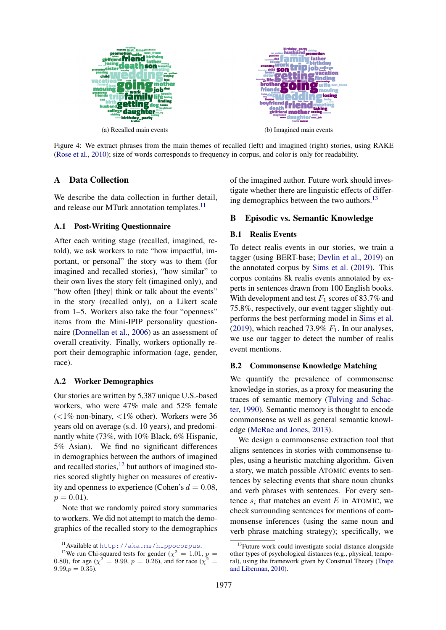

Figure 4: We extract phrases from the main themes of recalled (left) and imagined (right) stories, using RAKE [\(Rose et al.,](#page-5-26) [2010\)](#page-5-26); size of words corresponds to frequency in corpus, and color is only for readability.

# <span id="page-7-0"></span>A Data Collection

We describe the data collection in further detail, and release our MTurk annotation templates.<sup>[11](#page-7-5)</sup>

# <span id="page-7-2"></span>A.1 Post-Writing Questionnaire

After each writing stage (recalled, imagined, retold), we ask workers to rate "how impactful, important, or personal" the story was to them (for imagined and recalled stories), "how similar" to their own lives the story felt (imagined only), and "how often [they] think or talk about the events" in the story (recalled only), on a Likert scale from 1–5. Workers also take the four "openness" items from the Mini-IPIP personality questionnaire [\(Donnellan et al.,](#page-5-27) [2006\)](#page-5-27) as an assessment of overall creativity. Finally, workers optionally report their demographic information (age, gender, race).

#### <span id="page-7-1"></span>A.2 Worker Demographics

Our stories are written by 5,387 unique U.S.-based workers, who were 47% male and 52% female  $\left($  <1% non-binary, <1% other). Workers were 36 years old on average (s.d. 10 years), and predominantly white (73%, with 10% Black, 6% Hispanic, 5% Asian). We find no significant differences in demographics between the authors of imagined and recalled stories, $^{12}$  $^{12}$  $^{12}$  but authors of imagined stories scored slightly higher on measures of creativity and openness to experience (Cohen's  $d = 0.08$ ,  $p = 0.01$ .

Note that we randomly paired story summaries to workers. We did not attempt to match the demographics of the recalled story to the demographics of the imagined author. Future work should investigate whether there are linguistic effects of differing demographics between the two authors.[13](#page-7-7)

# B Episodic vs. Semantic Knowledge

## <span id="page-7-3"></span>B.1 Realis Events

To detect realis events in our stories, we train a tagger (using BERT-base; [Devlin et al.,](#page-5-13) [2019\)](#page-5-13) on the annotated corpus by [Sims et al.](#page-6-2) [\(2019\)](#page-6-2). This corpus contains 8k realis events annotated by experts in sentences drawn from 100 English books. With development and test  $F_1$  scores of 83.7% and 75.8%, respectively, our event tagger slightly outperforms the best performing model in [Sims et al.](#page-6-2) [\(2019\)](#page-6-2), which reached 73.9%  $F_1$ . In our analyses, we use our tagger to detect the number of realis event mentions.

## <span id="page-7-4"></span>B.2 Commonsense Knowledge Matching

We quantify the prevalence of commonsense knowledge in stories, as a proxy for measuring the traces of semantic memory [\(Tulving and Schac](#page-6-9)[ter,](#page-6-9) [1990\)](#page-6-9). Semantic memory is thought to encode commonsense as well as general semantic knowledge [\(McRae and Jones,](#page-5-17) [2013\)](#page-5-17).

We design a commonsense extraction tool that aligns sentences in stories with commonsense tuples, using a heuristic matching algorithm. Given a story, we match possible ATOMIC events to sentences by selecting events that share noun chunks and verb phrases with sentences. For every sentence  $s_i$  that matches an event E in ATOMIC, we check surrounding sentences for mentions of commonsense inferences (using the same noun and verb phrase matching strategy); specifically, we

<span id="page-7-6"></span><span id="page-7-5"></span><sup>11</sup>Available at <http://aka.ms/hippocorpus>.

<sup>&</sup>lt;sup>12</sup>We run Chi-squared tests for gender ( $\chi^2 = 1.01$ ,  $p =$ 0.80), for age ( $\chi^2 = 9.99$ ,  $p = 0.26$ ), and for race ( $\chi^2 =$  $9.99,p = 0.35.$ 

<span id="page-7-7"></span><sup>&</sup>lt;sup>13</sup>Future work could investigate social distance alongside other types of psychological distances (e.g., physical, temporal), using the framework given by Construal Theory [\(Trope](#page-6-10) [and Liberman,](#page-6-10) [2010\)](#page-6-10).